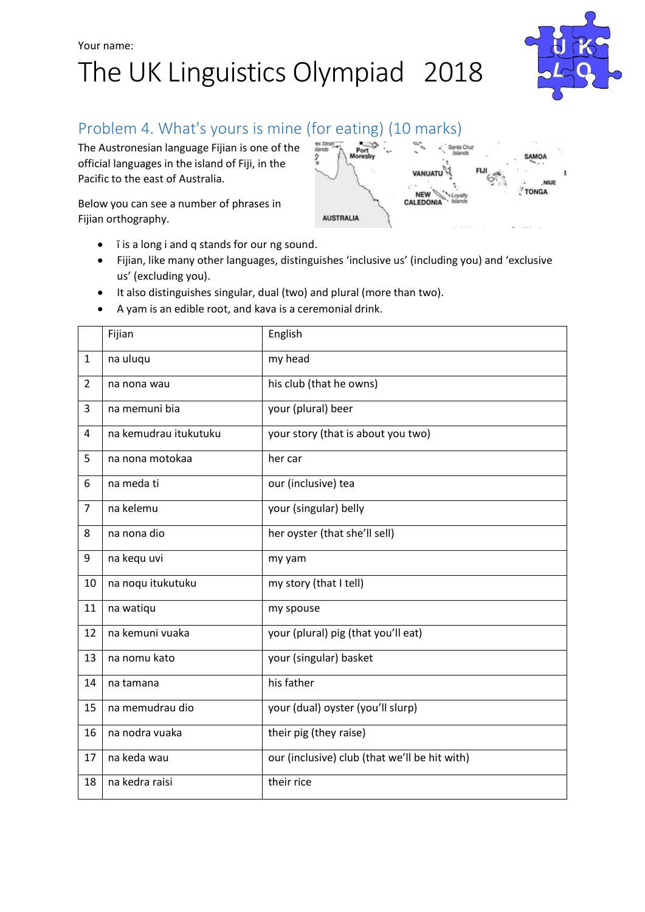## Your name: The UK Linguistics Olympiad 2018



### Problem 4. What's yours is mine (for eating) (10 marks)

The Austronesian language Fijian is one of the official languages in the island of Fiji, in the Pacific to the east of Australia.

Below you can see a number of phrases in Fijian orthography.



- **is a long i and q stands for our ng sound.**
- Fijian, like many other languages, distinguishes 'inclusive us' (including you) and 'exclusive us' (excluding you).
- It also distinguishes singular, dual (two) and plural (more than two).
- A yam is an edible root, and kava is a ceremonial drink.

|                | Fijian                | English                                       |
|----------------|-----------------------|-----------------------------------------------|
| $\mathbf{1}$   | na uluqu              | my head                                       |
| $\overline{2}$ | na nona wau           | his club (that he owns)                       |
| 3              | na memuni bia         | your (plural) beer                            |
| 4              | na kemudrau itukutuku | your story (that is about you two)            |
| 5              | na nona motokaa       | her car                                       |
| 6              | na meda ti            | our (inclusive) tea                           |
| $\overline{7}$ | na kelemu             | your (singular) belly                         |
| 8              | na nona dio           | her oyster (that she'll sell)                 |
| 9              | na kegu uvi           | my yam                                        |
| 10             | na noqu itukutuku     | my story (that I tell)                        |
| 11             | na watiqu             | my spouse                                     |
| 12             | na kemuni vuaka       | your (plural) pig (that you'll eat)           |
| 13             | na nomu kato          | your (singular) basket                        |
| 14             | na tamana             | his father                                    |
| 15             | na memudrau dio       | your (dual) oyster (you'll slurp)             |
| 16             | na nodra vuaka        | their pig (they raise)                        |
| 17             | na keda wau           | our (inclusive) club (that we'll be hit with) |
| 18             | na kedra raisi        | their rice                                    |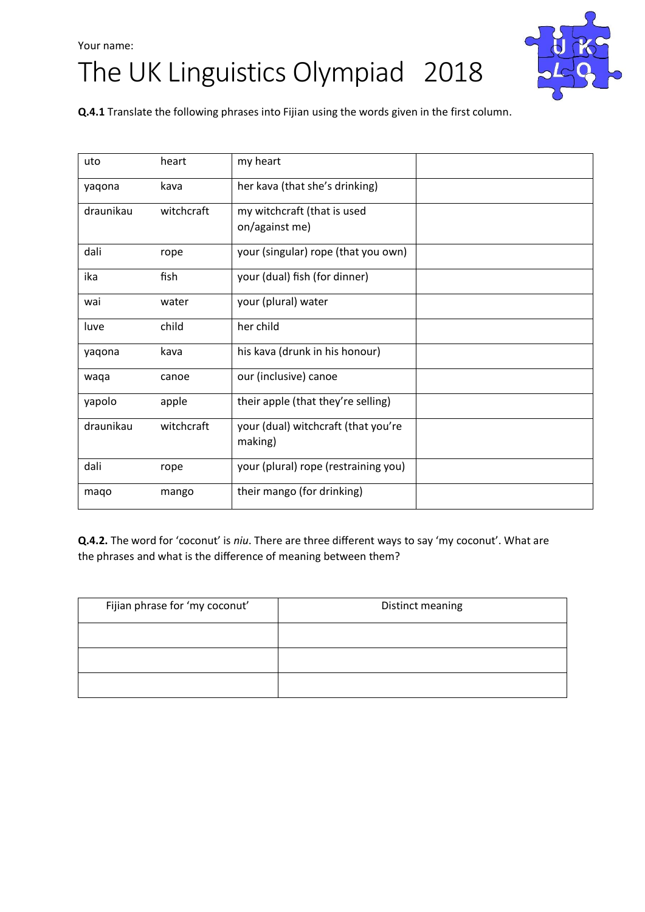#### Your name:

# The UK Linguistics Olympiad 2018



**Q.4.1** Translate the following phrases into Fijian using the words given in the first column.

| uto       | heart      | my heart                                       |  |
|-----------|------------|------------------------------------------------|--|
| yaqona    | kava       | her kava (that she's drinking)                 |  |
| draunikau | witchcraft | my witchcraft (that is used<br>on/against me)  |  |
| dali      | rope       | your (singular) rope (that you own)            |  |
| ika       | fish       | your (dual) fish (for dinner)                  |  |
| wai       | water      | your (plural) water                            |  |
| luve      | child      | her child                                      |  |
| yaqona    | kava       | his kava (drunk in his honour)                 |  |
| waqa      | canoe      | our (inclusive) canoe                          |  |
| yapolo    | apple      | their apple (that they're selling)             |  |
| draunikau | witchcraft | your (dual) witchcraft (that you're<br>making) |  |
| dali      | rope       | your (plural) rope (restraining you)           |  |
| maqo      | mango      | their mango (for drinking)                     |  |

**Q.4.2.** The word for 'coconut' is *niu*. There are three different ways to say 'my coconut'. What are the phrases and what is the difference of meaning between them?

| Fijian phrase for 'my coconut' | Distinct meaning |
|--------------------------------|------------------|
|                                |                  |
|                                |                  |
|                                |                  |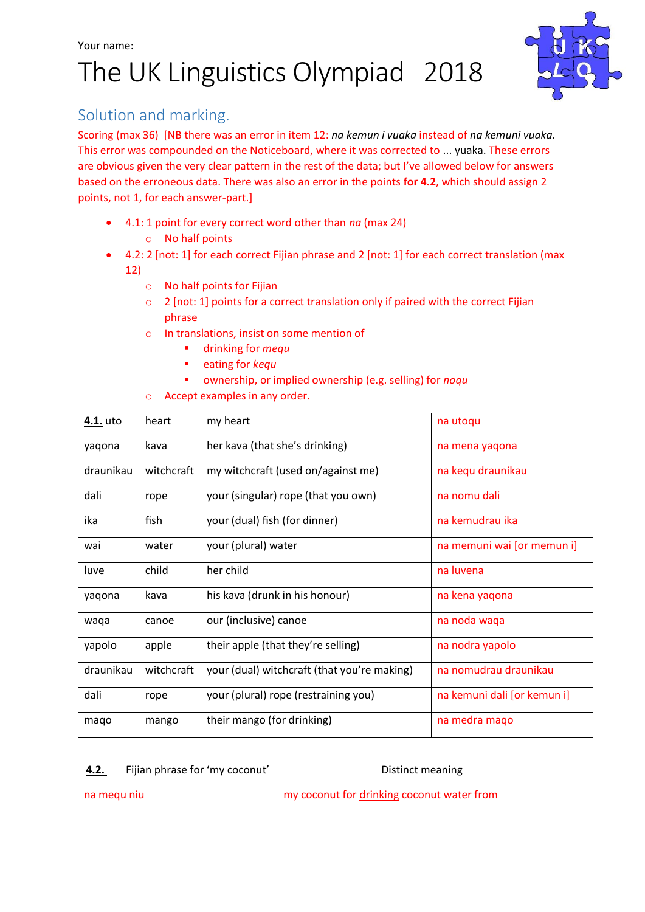### Your name: The UK Linguistics Olympiad 2018



#### Solution and marking.

Scoring (max 36) [NB there was an error in item 12: *na kemun i vuaka* instead of *na kemuni vuaka*. This error was compounded on the Noticeboard, where it was corrected to ... yuaka. These errors are obvious given the very clear pattern in the rest of the data; but I've allowed below for answers based on the erroneous data. There was also an error in the points **for 4.2**, which should assign 2 points, not 1, for each answer-part.]

- 4.1: 1 point for every correct word other than *na* (max 24)
	- o No half points
- 4.2: 2 [not: 1] for each correct Fijian phrase and 2 [not: 1] for each correct translation (max 12)
	- o No half points for Fijian
	- o 2 [not: 1] points for a correct translation only if paired with the correct Fijian phrase
	- o In translations, insist on some mention of
		- drinking for *mequ*
		- **Exercise 2** eating for *kequ*
		- ownership, or implied ownership (e.g. selling) for *noqu*
	- o Accept examples in any order.

| 4.1. uto  | heart      | my heart                                    | na utoqu                    |
|-----------|------------|---------------------------------------------|-----------------------------|
| yaqona    | kava       | her kava (that she's drinking)              | na mena yagona              |
| draunikau | witchcraft | my witchcraft (used on/against me)          | na kequ draunikau           |
| dali      | rope       | your (singular) rope (that you own)         | na nomu dali                |
| ika       | fish       | your (dual) fish (for dinner)               | na kemudrau ika             |
| wai       | water      | your (plural) water                         | na memuni wai [or memun i]  |
| luve      | child      | her child                                   | na luvena                   |
| yaqona    | kava       | his kava (drunk in his honour)              | na kena yaqona              |
| waqa      | canoe      | our (inclusive) canoe                       | na noda waqa                |
| yapolo    | apple      | their apple (that they're selling)          | na nodra yapolo             |
| draunikau | witchcraft | your (dual) witchcraft (that you're making) | na nomudrau draunikau       |
| dali      | rope       | your (plural) rope (restraining you)        | na kemuni dali [or kemun i] |
| maqo      | mango      | their mango (for drinking)                  | na medra mago               |

| <u>4.2.</u> | Fijian phrase for 'my coconut' | Distinct meaning                           |  |
|-------------|--------------------------------|--------------------------------------------|--|
| na megu niu |                                | my coconut for drinking coconut water from |  |